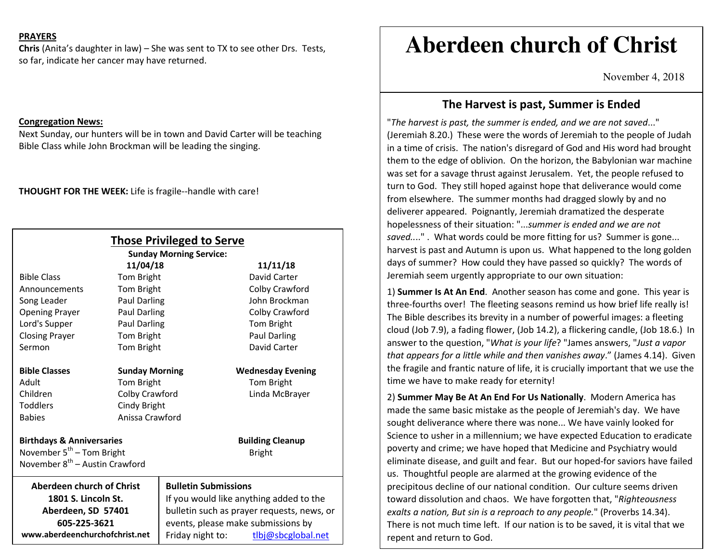### **PRAYERS**

**Chris** (Anita's daughter in law) – She was sent to TX to see other Drs. Tests, so far, indicate her cancer may have returned.

#### **Congregation News:**

 Next Sunday, our hunters will be in town and David Carter will be teaching Bible Class while John Brockman will be leading the singing.

**THOUGHT FOR THE WEEK:** Life is fragile--handle with care!

| <b>Those Privileged to Serve</b><br><b>Sunday Morning Service:</b> |                       |                                            |                          |
|--------------------------------------------------------------------|-----------------------|--------------------------------------------|--------------------------|
| 11/04/18<br>11/11/18                                               |                       |                                            |                          |
| <b>Bible Class</b>                                                 | Tom Bright            |                                            | David Carter             |
| Announcements                                                      | Tom Bright            |                                            | Colby Crawford           |
| Song Leader                                                        | <b>Paul Darling</b>   |                                            | John Brockman            |
| <b>Opening Prayer</b>                                              | Paul Darling          |                                            | Colby Crawford           |
| Lord's Supper                                                      | Paul Darling          |                                            | Tom Bright               |
| <b>Closing Prayer</b>                                              | Tom Bright            |                                            | Paul Darling             |
| Sermon                                                             | Tom Bright            |                                            | David Carter             |
| <b>Bible Classes</b>                                               | <b>Sunday Morning</b> |                                            | <b>Wednesday Evening</b> |
| Adult                                                              | Tom Bright            |                                            | Tom Bright               |
| Children                                                           | Colby Crawford        |                                            | Linda McBrayer           |
| <b>Toddlers</b>                                                    | Cindy Bright          |                                            |                          |
| <b>Babies</b>                                                      |                       | Anissa Crawford                            |                          |
| <b>Birthdays &amp; Anniversaries</b>                               |                       |                                            | <b>Building Cleanup</b>  |
| November $5^{th}$ – Tom Bright                                     |                       |                                            | <b>Bright</b>            |
| November 8 <sup>th</sup> – Austin Crawford                         |                       |                                            |                          |
| Aberdeen church of Christ                                          |                       | <b>Bulletin Submissions</b>                |                          |
| 1801 S. Lincoln St.                                                |                       | If you would like anything added to the    |                          |
| Aberdeen, SD 57401                                                 |                       | bulletin such as prayer requests, news, or |                          |
| 605-225-3621                                                       |                       | events, please make submissions by         |                          |
| www.aberdeenchurchofchrist.net                                     |                       | Friday night to:                           | tlbj@sbcglobal.net       |

# **Aberdeen church of Christ**

November 4, 2018

## **The Harvest is past, Summer is Ended**

"*The harvest is past, the summer is ended, and we are not saved*..." (Jeremiah 8.20.) These were the words of Jeremiah to the people of Judah in a time of crisis. The nation's disregard of God and His word had brought them to the edge of oblivion. On the horizon, the Babylonian war machine was set for a savage thrust against Jerusalem. Yet, the people refused to turn to God. They still hoped against hope that deliverance would come from elsewhere. The summer months had dragged slowly by and no deliverer appeared. Poignantly, Jeremiah dramatized the desperate hopelessness of their situation: "...*summer is ended and we are not saved..*.." . What words could be more fitting for us? Summer is gone... harvest is past and Autumn is upon us. What happened to the long golden days of summer? How could they have passed so quickly? The words of Jeremiah seem urgently appropriate to our own situation:

1) **Summer Is At An End**. Another season has come and gone. This year is three-fourths over! The fleeting seasons remind us how brief life really is! The Bible describes its brevity in a number of powerful images: a fleeting cloud (Job 7.9), a fading flower, (Job 14.2), a flickering candle, (Job 18.6.) In answer to the question, "*What is your life*? "James answers, "*Just a vapor that appears for a little while and then vanishes away*." (James 4.14). Given the fragile and frantic nature of life, it is crucially important that we use the time we have to make ready for eternity!

2) **Summer May Be At An End For Us Nationally**. Modern America has made the same basic mistake as the people of Jeremiah's day. We have sought deliverance where there was none... We have vainly looked for Science to usher in a millennium; we have expected Education to eradicate poverty and crime; we have hoped that Medicine and Psychiatry would eliminate disease, and guilt and fear. But our hoped-for saviors have failed us. Thoughtful people are alarmed at the growing evidence of the precipitous decline of our national condition. Our culture seems driven toward dissolution and chaos. We have forgotten that, "*Righteousness exalts a nation, But sin is a reproach to any people.*" (Proverbs 14.34). There is not much time left. If our nation is to be saved, it is vital that we repent and return to God.